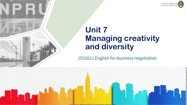

### **Unit 7 Managing creativity and diversity**

1552611 English for business negotiation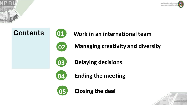









**Work in an international team**

**Managing creativity and diversity**



**Delaying decisions**



**Ending the meeting**



**Closing the deal**

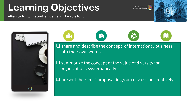# **Learning Objectives**

After studying this unit, students will be able to…





**29** 

into their own words cias.  $\square$  share and describe the concept of international business into their own words.

Your Text Here  $\square$  summarize the concept of the value of diversity for organizations systematically.

 $\square$  present their mini-proposal in group discussion creatively.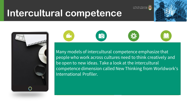## **Intercultural competence**



torcultural coloured a ross cu atance amphasiza that  $\epsilon$  colors, photos  $\epsilon$ people who work across cultures need to think creatively and colors en any modal Many models of intercultural competence emphasize that adonal Fonten. Your Text Here Text Here Text Your Text Here be open to new ideas. Take a look at the intercultural competence dimension called New Thinking from Worldwork's International Profiler.

6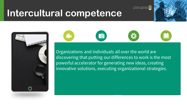เยาลัยราชภัฏนครปฐะ

## **Intercultural competence**







Individual photos, photos, photos, photos, photos, photos, photos, photos, photos, photos, photos, photos, photos, photos, photos, photos, photos, photos, photos, photos, photos, photos, photos, photos, photos, photos, photos, photos ting ol discovering that putting our differences to work is the most  $I$ ar tha  $M$ colors we rasnization Organizations and individuals all over the world are Your Text Here  $\sigma$  and  $\sigma$  and  $\sigma$ powerful accelerator for generating new ideas, creating innovative solutions, executing organizational strategies.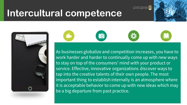## **Intercultural competence**



**P** 

aliza and c alize and work harder and harder to continually come up with new ways  $\sqrt{2}$ pournave d  $\frac{1}{2}$ cicion inciv<br>..  $\epsilon$  hucingee As businesses globalize and competition increases, you have to to the creative tale. important thing to establish internally is an atmosphere where atabla habay apic perid.<br>' Your Text Here reque. The most and appeal to your it is acceptable behavior to come up with new ideas which may Your Text Here to stay on top of the consumers' mind with your product or service. Effective, innovative organizations discover ways to tap into the creative talents of their own people. The most be a big departure from past practice.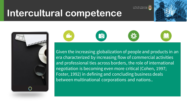## **Intercultural competence**



eas do chailte and the control of the control to control the control of the second terms to control the contro<br>And the control of the control of the control of the control of the control of the control of the control of t<br> p biopanz era characterized by increasing flow of commercial activities ducte in a aucco in a of noonla a r people d  $\frac{1}{2}$ ivan tha in Given the increasing globalization of people and products in an  $\mathfrak{g}$  , 1992) in achimig c between multinational corporations and nations.. The control  $\mathcal{L}$  $\zeta$  dustribution can simply  $\zeta$ Your Text Here and professional ties across borders, the role of international negotiation is becoming even more critical (Cohen, 1997; Foster, 1992) in defining and concluding business deals

**P**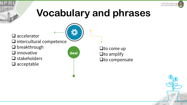

## **Vocabulary and phrases**

- $\square$  accelerator
- $\square$  intercultural competence
- $\Box$  breakthrough
- $\Box$  innovative
- $\square$  stakeholders
- $\Box$  acceptable



 $\Box$  to come up  $\Box$  to amplify  $\Box$  to compensate

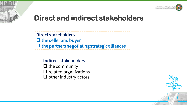



#### **Direct and indirect stakeholders**

Direct stakeholders  $\Box$  the seller and buyer  $\Box$  the partners negotiating strategic alliances

Indirect stakeholders  $\frac{1}{2}$  the community  $\Box$  related organizations  $\Box$  other industry actors

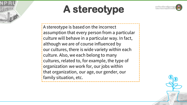

# **A stereotype**

A stereotype is based on the incorrect assumption that every person from a particular culture will behave in a particular way. In fact, although we are of course influenced by our cultures, there is wide variety within each culture. Also, we each belong to many cultures, related to, for example, the type of organization we work for, our jobs within that organization, our age, our gender, our family situation, etc.

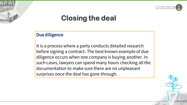

#### Due diligence

It is a process where a party conducts detailed research before signing a contract. The best known example of due diligence occurs when one company is buying another. In such cases, lawyers can spend many hours checking all the documentation to make sure there are no unpleasant surprises once the deal has gone through.

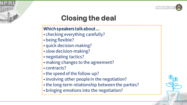

#### Which speakers talk about ...

- checking everything carefully?
- being flexible?
- quick decision-making?
- slow decision-making?
- negotiating tactics?
- making changes to the agreement?
- contracts?
- the speed of the follow-up?
- involving other people in the negotiation?
- the long-term relationship between the parties?
- bringing emotions into the negotiation?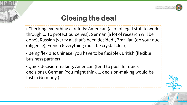

- Checking everything carefully: American (a lot of legal stuff to work through ... To protect ourselves), German (a lot of research will be done), Russian (verify all that's been decided), Brazilian (do your due diligence), French (everything must be crystal clear)
- Being flexible: Chinese (you have to be flexible), British (flexible business partner)
- Quick decision-making: American (tend to push for quick decisions), German (You might think ... decision-making would be fast in Germany.)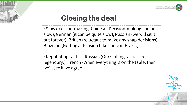

• Slow decision-making: Chinese (Decision-making can be slow), German (it can be quite slow), Russian (we will sit it out forever), British (reluctant to make any snap decisions), Brazilian (Getting a decision takes time in Brazil.)

• Negotiating tactics: Russian (Our stalling tactics are legendary.), French (When everything is on the table, then we'll see if we agree.)

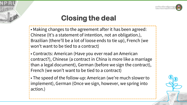

• Making changes to the agreement after it has been agreed: Chinese (It's a statement of intention, not an obligation.), Brazilian (there'll be a lot of loose ends to tie up), French (we won't want to be tied to a contract)

• Contracts: American (Have you ever read an American contract?), Chinese (a contract in China is more like a marriage than a legal document), German (before we sign the contract), French (we won't want to be tied to a contract)

• The speed of the follow-up: American (we're much slower to implement), German (Once we sign, however, we spring into action.)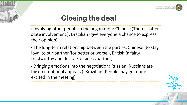

- Involving other people in the negotiation: Chinese (There is often state involvement.), Brazilian (give everyone a chance to express their opinion)
- The long-term relationship between the parties: Chinese (to stay loyal to our partner 'for better or worse'), British (a fairly trustworthy and flexible business partner)
- Bringing emotions into the negotiation: Russian (Russians are big on emotional appeals.), Brazilian (People may get quite excited in the meeting)

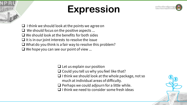# **Expression**



 $\Box$  I think we should look at the points we agree on We should focus on the positive aspects ...  $\Box$  We should look at the benefits for both sides  $\Box$  It is in our joint interests to resolve the issue  $\Box$  What do you think is a fair way to resolve this problem?  $\Box$  We hope you can see our point of view ...

 $\Box$  Let us explain our position

- $\Box$  Could you tell us why you feel like that?
- $\Box$  I think we should look at the whole package, not so much at individual areas of difficulty.
- $\Box$  Perhaps we could adjourn for a little while.
- $\Box$  I think we need to consider some fresh ideas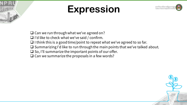

# **Expression**



- $\Box$  Can we run through what we've agreed on?
- $\Box$  I'd like to check what we've said / confirm.
- $\Box$  I think this is a good time/point to repeat what we've agreed to so far.
- $\square$  Summarizing I'd like to run through the main points that we've talked about.
- $\square$  So, I'll summarize the important points of our offer.
- $\square$  Can we summarize the proposals in a few words?

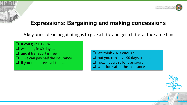

#### **Expressions: Bargaining and making concessions**

A key principle in negotiating is to give a little and get a little at the same time.

 $\Box$  If you give us 70%  $\Box$  we'll pay in 60 days...  $\Box$  and if transport is free..  $\Box$  .. we can pay half the insurance.  $\Box$  If you can agree n all that...

 $\Box$  We think 2% is enough... but you can have 90 days credit... no... if you pay for transport we'll look after the insurance.

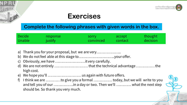

#### **Exercises**

#### **Complete the following phrases with given words in the box.**

| <b>Decide</b> | <b>response</b> | <b>SOFFY</b> | accept  | thought  |
|---------------|-----------------|--------------|---------|----------|
| Unable        | justify         | convinced    | contact | decision |

- a) Thank you for your proposal, but we are very....................
- b) We do not feel able at this stage to..................................your offer.
- c) Obviously, we have ……………………it very carefully.
- d) We are not entirely ……………………… that the technical advantage …………… the high cost.
- e) We hope you'll ……………………… us again with future offers.
- f) I think we are …………to give you a formal …………… today, but we will write to you and tell you of our …………….in a day or two. Then we'll ………… what the next step should be. So thank you very much.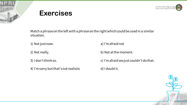

#### **Exercises**

Match a phrase on the left with a phrase on the right which could be used in a similar situation.

1) Not just now.  $\qquad \qquad \qquad$  a) I'm afraid not

2) Not really. **b**) Not at the moment.

4) I'm sorry but that's not realistic d) I doubt it.

3) I don't think so. c) I'm afraid we just couldn't do that.